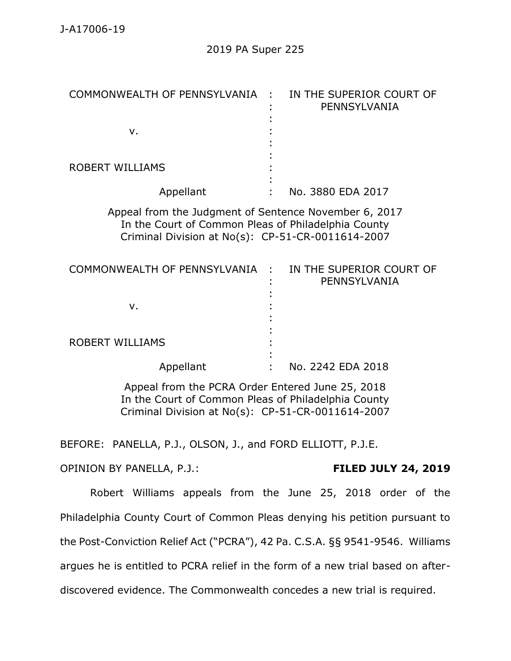| COMMONWEALTH OF PENNSYLVANIA :                                                                                                                                    | IN THE SUPERIOR COURT OF<br>PENNSYLVANIA                    |
|-------------------------------------------------------------------------------------------------------------------------------------------------------------------|-------------------------------------------------------------|
| v.                                                                                                                                                                |                                                             |
| <b>ROBERT WILLIAMS</b>                                                                                                                                            |                                                             |
| Appellant                                                                                                                                                         | No. 3880 EDA 2017                                           |
| Appeal from the Judgment of Sentence November 6, 2017<br>In the Court of Common Pleas of Philadelphia County<br>Criminal Division at No(s): CP-51-CR-0011614-2007 |                                                             |
| COMMONWEALTH OF PENNSYLVANIA :                                                                                                                                    | IN THE SUPERIOR COURT OF<br>PENNSYLVANIA                    |
| v.                                                                                                                                                                |                                                             |
| <b>ROBERT WILLIAMS</b>                                                                                                                                            |                                                             |
| Appellant                                                                                                                                                         | No. 2242 EDA 2018                                           |
| Appeal from the PCRA Order Entered June 25, 2018<br>In the Court of Common Pleas of Philadelphia County<br>Criminal Division at No(s): CP-51-CR-0011614-2007      |                                                             |
| PANELLA, P.J., OLSON, J., and FORD ELLIOTT, P.J.E.<br>BEFORE:                                                                                                     |                                                             |
| OPINION BY PANELLA, P.J.:                                                                                                                                         | <b>FILED JULY 24, 2019</b>                                  |
|                                                                                                                                                                   | Robert Williams appeals from the June 25, 2018 order of the |
| Philadelphia County Court of Common Pleas denying his petition pursuant to                                                                                        |                                                             |

the Post-Conviction Relief Act ("PCRA"), 42 Pa. C.S.A. §§ 9541-9546. Williams

argues he is entitled to PCRA relief in the form of a new trial based on after-

discovered evidence. The Commonwealth concedes a new trial is required.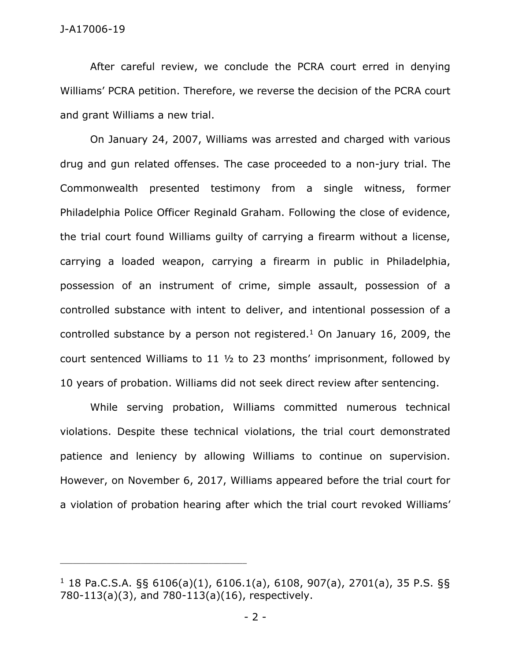After careful review, we conclude the PCRA court erred in denying Williams' PCRA petition. Therefore, we reverse the decision of the PCRA court and grant Williams a new trial.

On January 24, 2007, Williams was arrested and charged with various drug and gun related offenses. The case proceeded to a non-jury trial. The Commonwealth presented testimony from a single witness, former Philadelphia Police Officer Reginald Graham. Following the close of evidence, the trial court found Williams guilty of carrying a firearm without a license, carrying a loaded weapon, carrying a firearm in public in Philadelphia, possession of an instrument of crime, simple assault, possession of a controlled substance with intent to deliver, and intentional possession of a controlled substance by a person not registered.<sup>1</sup> On January 16, 2009, the court sentenced Williams to 11 ½ to 23 months' imprisonment, followed by 10 years of probation. Williams did not seek direct review after sentencing.

While serving probation, Williams committed numerous technical violations. Despite these technical violations, the trial court demonstrated patience and leniency by allowing Williams to continue on supervision. However, on November 6, 2017, Williams appeared before the trial court for a violation of probation hearing after which the trial court revoked Williams'

\_\_\_\_\_\_\_\_\_\_\_\_\_\_\_\_\_\_\_\_\_\_\_\_\_\_\_\_\_\_\_\_\_\_\_\_\_\_\_\_\_\_\_\_

 $1$  18 Pa.C.S.A. §§ 6106(a)(1), 6106.1(a), 6108, 907(a), 2701(a), 35 P.S. §§ 780-113(a)(3), and 780-113(a)(16), respectively.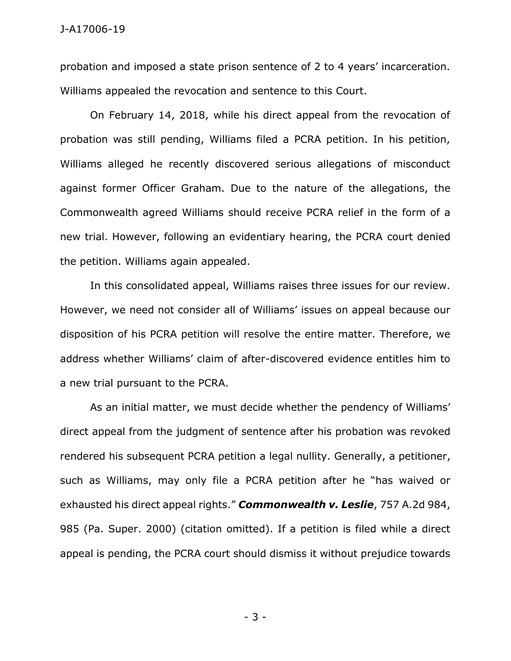probation and imposed a state prison sentence of 2 to 4 years' incarceration. Williams appealed the revocation and sentence to this Court.

On February 14, 2018, while his direct appeal from the revocation of probation was still pending, Williams filed a PCRA petition. In his petition, Williams alleged he recently discovered serious allegations of misconduct against former Officer Graham. Due to the nature of the allegations, the Commonwealth agreed Williams should receive PCRA relief in the form of a new trial. However, following an evidentiary hearing, the PCRA court denied the petition. Williams again appealed.

In this consolidated appeal, Williams raises three issues for our review. However, we need not consider all of Williams' issues on appeal because our disposition of his PCRA petition will resolve the entire matter. Therefore, we address whether Williams' claim of after-discovered evidence entitles him to a new trial pursuant to the PCRA.

As an initial matter, we must decide whether the pendency of Williams' direct appeal from the judgment of sentence after his probation was revoked rendered his subsequent PCRA petition a legal nullity. Generally, a petitioner, such as Williams, may only file a PCRA petition after he "has waived or exhausted his direct appeal rights." *Commonwealth v. Leslie*, 757 A.2d 984, 985 (Pa. Super. 2000) (citation omitted). If a petition is filed while a direct appeal is pending, the PCRA court should dismiss it without prejudice towards

- 3 -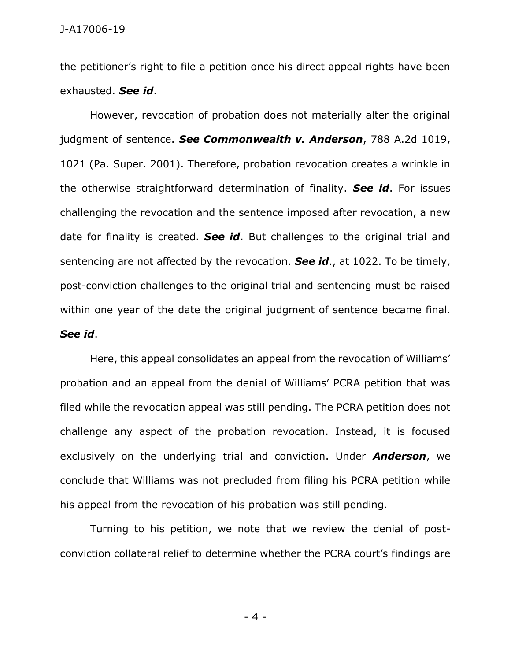the petitioner's right to file a petition once his direct appeal rights have been exhausted. *See id*.

However, revocation of probation does not materially alter the original judgment of sentence. *See Commonwealth v. Anderson*, 788 A.2d 1019, 1021 (Pa. Super. 2001). Therefore, probation revocation creates a wrinkle in the otherwise straightforward determination of finality. *See id*. For issues challenging the revocation and the sentence imposed after revocation, a new date for finality is created. *See id*. But challenges to the original trial and sentencing are not affected by the revocation. *See id*., at 1022. To be timely, post-conviction challenges to the original trial and sentencing must be raised within one year of the date the original judgment of sentence became final. *See id*.

Here, this appeal consolidates an appeal from the revocation of Williams' probation and an appeal from the denial of Williams' PCRA petition that was filed while the revocation appeal was still pending. The PCRA petition does not challenge any aspect of the probation revocation. Instead, it is focused exclusively on the underlying trial and conviction. Under *Anderson*, we conclude that Williams was not precluded from filing his PCRA petition while his appeal from the revocation of his probation was still pending.

Turning to his petition, we note that we review the denial of postconviction collateral relief to determine whether the PCRA court's findings are

- 4 -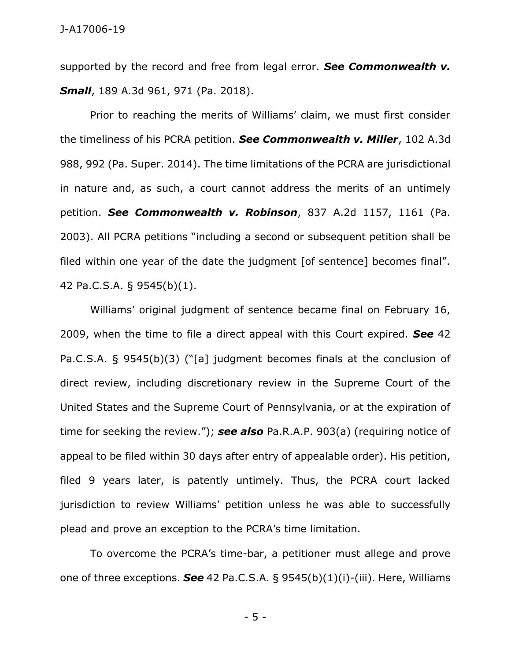supported by the record and free from legal error. *See Commonwealth v. Small*, 189 A.3d 961, 971 (Pa. 2018).

Prior to reaching the merits of Williams' claim, we must first consider the timeliness of his PCRA petition. *See Commonwealth v. Miller*, 102 A.3d 988, 992 (Pa. Super. 2014). The time limitations of the PCRA are jurisdictional in nature and, as such, a court cannot address the merits of an untimely petition. *See Commonwealth v. Robinson*, 837 A.2d 1157, 1161 (Pa. 2003). All PCRA petitions "including a second or subsequent petition shall be filed within one year of the date the judgment [of sentence] becomes final". 42 Pa.C.S.A. § 9545(b)(1).

Williams' original judgment of sentence became final on February 16, 2009, when the time to file a direct appeal with this Court expired. *See* 42 Pa.C.S.A. § 9545(b)(3) ("[a] judgment becomes finals at the conclusion of direct review, including discretionary review in the Supreme Court of the United States and the Supreme Court of Pennsylvania, or at the expiration of time for seeking the review."); *see also* Pa.R.A.P. 903(a) (requiring notice of appeal to be filed within 30 days after entry of appealable order). His petition, filed 9 years later, is patently untimely. Thus, the PCRA court lacked jurisdiction to review Williams' petition unless he was able to successfully plead and prove an exception to the PCRA's time limitation.

To overcome the PCRA's time-bar, a petitioner must allege and prove one of three exceptions. *See* 42 Pa.C.S.A. § 9545(b)(1)(i)-(iii). Here, Williams

- 5 -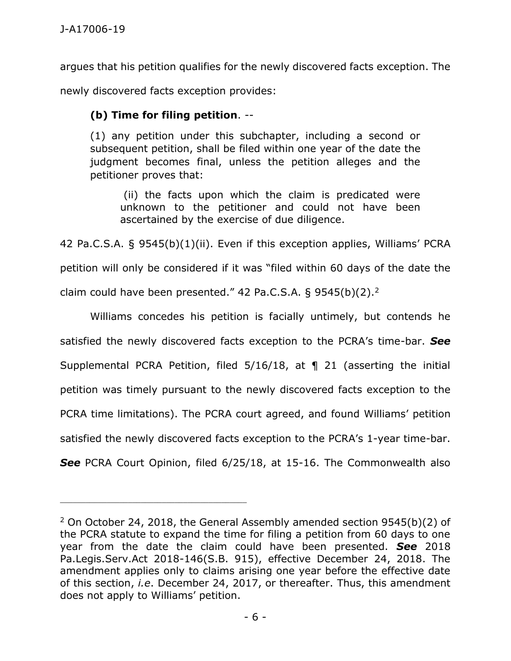argues that his petition qualifies for the newly discovered facts exception. The newly discovered facts exception provides:

## **(b) Time for filing petition**. --

\_\_\_\_\_\_\_\_\_\_\_\_\_\_\_\_\_\_\_\_\_\_\_\_\_\_\_\_\_\_\_\_\_\_\_\_\_\_\_\_\_\_\_\_

(1) any petition under this subchapter, including a second or subsequent petition, shall be filed within one year of the date the judgment becomes final, unless the petition alleges and the petitioner proves that:

(ii) the facts upon which the claim is predicated were unknown to the petitioner and could not have been ascertained by the exercise of due diligence.

42 Pa.C.S.A. § 9545(b)(1)(ii). Even if this exception applies, Williams' PCRA petition will only be considered if it was "filed within 60 days of the date the claim could have been presented." 42 Pa.C.S.A. § 9545(b)(2).<sup>2</sup>

Williams concedes his petition is facially untimely, but contends he satisfied the newly discovered facts exception to the PCRA's time-bar. *See*  Supplemental PCRA Petition, filed 5/16/18, at ¶ 21 (asserting the initial petition was timely pursuant to the newly discovered facts exception to the PCRA time limitations). The PCRA court agreed, and found Williams' petition satisfied the newly discovered facts exception to the PCRA's 1-year time-bar. **See** PCRA Court Opinion, filed 6/25/18, at 15-16. The Commonwealth also

<sup>2</sup> On October 24, 2018, the General Assembly amended section 9545(b)(2) of the PCRA statute to expand the time for filing a petition from 60 days to one year from the date the claim could have been presented. *See* 2018 Pa.Legis.Serv.Act 2018-146(S.B. 915), effective December 24, 2018. The amendment applies only to claims arising one year before the effective date of this section, *i.e*. December 24, 2017, or thereafter. Thus, this amendment does not apply to Williams' petition.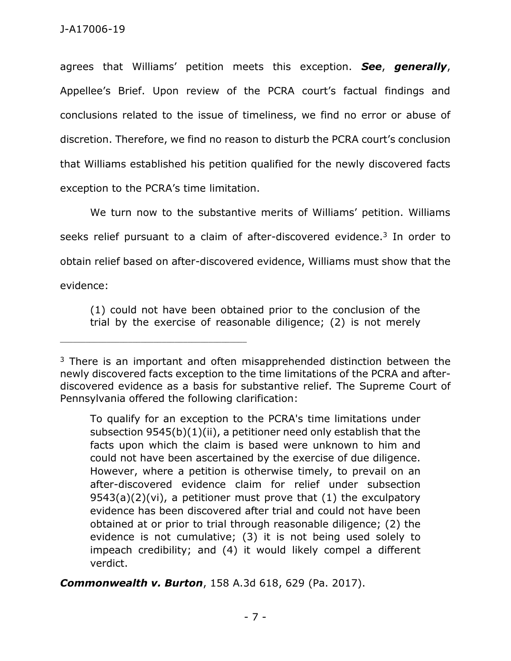agrees that Williams' petition meets this exception. *See*, *generally*, Appellee's Brief. Upon review of the PCRA court's factual findings and conclusions related to the issue of timeliness, we find no error or abuse of discretion. Therefore, we find no reason to disturb the PCRA court's conclusion that Williams established his petition qualified for the newly discovered facts exception to the PCRA's time limitation.

We turn now to the substantive merits of Williams' petition. Williams seeks relief pursuant to a claim of after-discovered evidence.<sup>3</sup> In order to obtain relief based on after-discovered evidence, Williams must show that the evidence:

(1) could not have been obtained prior to the conclusion of the trial by the exercise of reasonable diligence; (2) is not merely

To qualify for an exception to the PCRA's time limitations under subsection 9545(b)(1)(ii), a petitioner need only establish that the facts upon which the claim is based were unknown to him and could not have been ascertained by the exercise of due diligence. However, where a petition is otherwise timely, to prevail on an after-discovered evidence claim for relief under subsection  $9543(a)(2)(vi)$ , a petitioner must prove that  $(1)$  the exculpatory evidence has been discovered after trial and could not have been obtained at or prior to trial through reasonable diligence; (2) the evidence is not cumulative; (3) it is not being used solely to impeach credibility; and (4) it would likely compel a different verdict.

*Commonwealth v. Burton*, 158 A.3d 618, 629 (Pa. 2017).

<sup>&</sup>lt;sup>3</sup> There is an important and often misapprehended distinction between the newly discovered facts exception to the time limitations of the PCRA and afterdiscovered evidence as a basis for substantive relief. The Supreme Court of Pennsylvania offered the following clarification: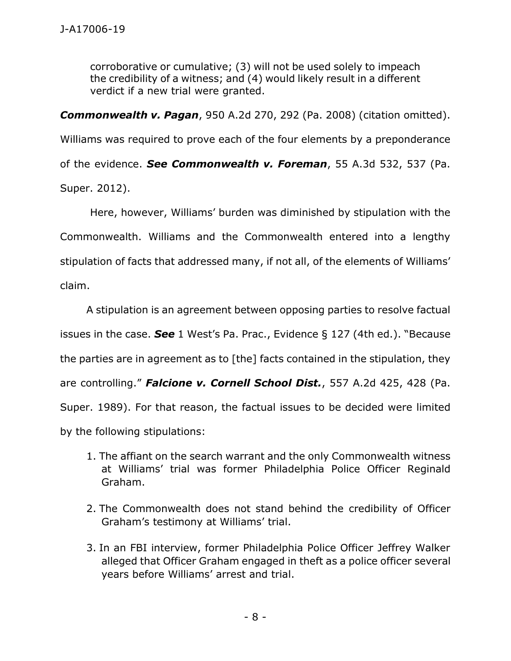corroborative or cumulative; (3) will not be used solely to impeach the credibility of a witness; and (4) would likely result in a different verdict if a new trial were granted.

*Commonwealth v. Pagan*, 950 A.2d 270, 292 (Pa. 2008) (citation omitted). Williams was required to prove each of the four elements by a preponderance of the evidence. *See Commonwealth v. Foreman*, 55 A.3d 532, 537 (Pa.

Super. 2012).

Here, however, Williams' burden was diminished by stipulation with the Commonwealth. Williams and the Commonwealth entered into a lengthy stipulation of facts that addressed many, if not all, of the elements of Williams' claim.

A stipulation is an agreement between opposing parties to resolve factual issues in the case. *See* 1 West's Pa. Prac., Evidence § 127 (4th ed.). "Because the parties are in agreement as to [the] facts contained in the stipulation, they are controlling." *Falcione v. Cornell School Dist.*, 557 A.2d 425, 428 (Pa. Super. 1989). For that reason, the factual issues to be decided were limited by the following stipulations:

- 1. The affiant on the search warrant and the only Commonwealth witness at Williams' trial was former Philadelphia Police Officer Reginald Graham.
- 2. The Commonwealth does not stand behind the credibility of Officer Graham's testimony at Williams' trial.
- 3. In an FBI interview, former Philadelphia Police Officer Jeffrey Walker alleged that Officer Graham engaged in theft as a police officer several years before Williams' arrest and trial.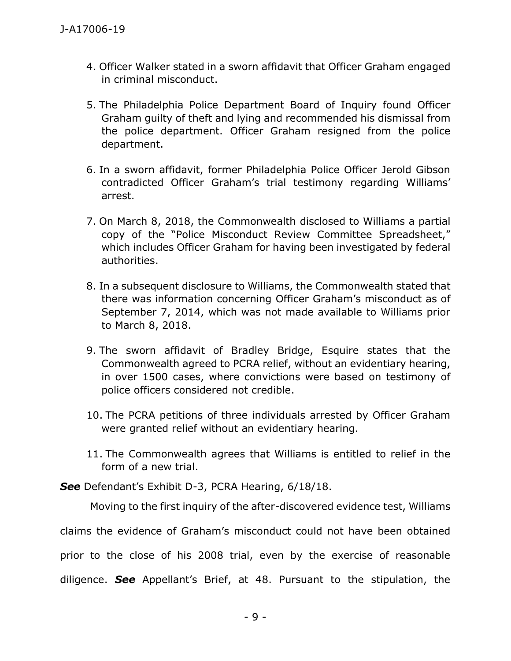- 4. Officer Walker stated in a sworn affidavit that Officer Graham engaged in criminal misconduct.
- 5. The Philadelphia Police Department Board of Inquiry found Officer Graham guilty of theft and lying and recommended his dismissal from the police department. Officer Graham resigned from the police department.
- 6. In a sworn affidavit, former Philadelphia Police Officer Jerold Gibson contradicted Officer Graham's trial testimony regarding Williams' arrest.
- 7. On March 8, 2018, the Commonwealth disclosed to Williams a partial copy of the "Police Misconduct Review Committee Spreadsheet," which includes Officer Graham for having been investigated by federal authorities.
- 8. In a subsequent disclosure to Williams, the Commonwealth stated that there was information concerning Officer Graham's misconduct as of September 7, 2014, which was not made available to Williams prior to March 8, 2018.
- 9. The sworn affidavit of Bradley Bridge, Esquire states that the Commonwealth agreed to PCRA relief, without an evidentiary hearing, in over 1500 cases, where convictions were based on testimony of police officers considered not credible.
- 10. The PCRA petitions of three individuals arrested by Officer Graham were granted relief without an evidentiary hearing.
- 11. The Commonwealth agrees that Williams is entitled to relief in the form of a new trial.

*See* Defendant's Exhibit D-3, PCRA Hearing, 6/18/18.

Moving to the first inquiry of the after-discovered evidence test, Williams claims the evidence of Graham's misconduct could not have been obtained prior to the close of his 2008 trial, even by the exercise of reasonable diligence. *See* Appellant's Brief, at 48. Pursuant to the stipulation, the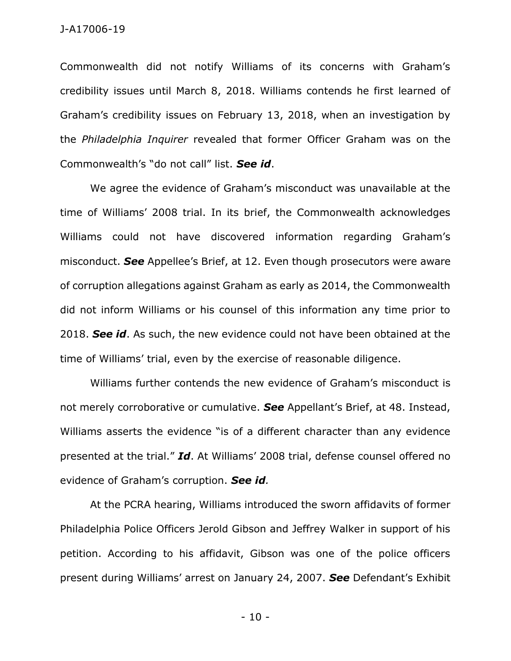Commonwealth did not notify Williams of its concerns with Graham's credibility issues until March 8, 2018. Williams contends he first learned of Graham's credibility issues on February 13, 2018, when an investigation by the *Philadelphia Inquirer* revealed that former Officer Graham was on the Commonwealth's "do not call" list. *See id*.

We agree the evidence of Graham's misconduct was unavailable at the time of Williams' 2008 trial. In its brief, the Commonwealth acknowledges Williams could not have discovered information regarding Graham's misconduct. *See* Appellee's Brief, at 12. Even though prosecutors were aware of corruption allegations against Graham as early as 2014, the Commonwealth did not inform Williams or his counsel of this information any time prior to 2018. *See id*. As such, the new evidence could not have been obtained at the time of Williams' trial, even by the exercise of reasonable diligence.

Williams further contends the new evidence of Graham's misconduct is not merely corroborative or cumulative. *See* Appellant's Brief, at 48. Instead, Williams asserts the evidence "is of a different character than any evidence presented at the trial." *Id*. At Williams' 2008 trial, defense counsel offered no evidence of Graham's corruption. *See id.*

At the PCRA hearing, Williams introduced the sworn affidavits of former Philadelphia Police Officers Jerold Gibson and Jeffrey Walker in support of his petition. According to his affidavit, Gibson was one of the police officers present during Williams' arrest on January 24, 2007. *See* Defendant's Exhibit

- 10 -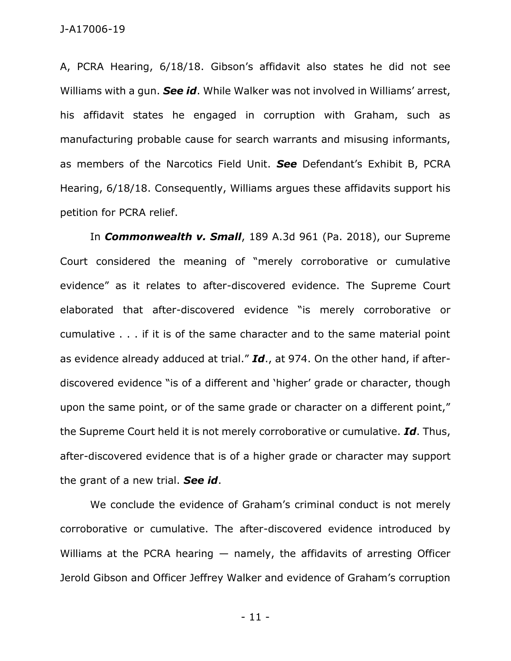A, PCRA Hearing, 6/18/18. Gibson's affidavit also states he did not see Williams with a gun. *See id*. While Walker was not involved in Williams' arrest, his affidavit states he engaged in corruption with Graham, such as manufacturing probable cause for search warrants and misusing informants, as members of the Narcotics Field Unit. *See* Defendant's Exhibit B, PCRA Hearing, 6/18/18. Consequently, Williams argues these affidavits support his petition for PCRA relief.

In *Commonwealth v. Small*, 189 A.3d 961 (Pa. 2018), our Supreme Court considered the meaning of "merely corroborative or cumulative evidence" as it relates to after-discovered evidence. The Supreme Court elaborated that after-discovered evidence "is merely corroborative or cumulative . . . if it is of the same character and to the same material point as evidence already adduced at trial." *Id*., at 974. On the other hand, if afterdiscovered evidence "is of a different and 'higher' grade or character, though upon the same point, or of the same grade or character on a different point," the Supreme Court held it is not merely corroborative or cumulative. *Id*. Thus, after-discovered evidence that is of a higher grade or character may support the grant of a new trial. *See id*.

We conclude the evidence of Graham's criminal conduct is not merely corroborative or cumulative. The after-discovered evidence introduced by Williams at the PCRA hearing — namely, the affidavits of arresting Officer Jerold Gibson and Officer Jeffrey Walker and evidence of Graham's corruption

- 11 -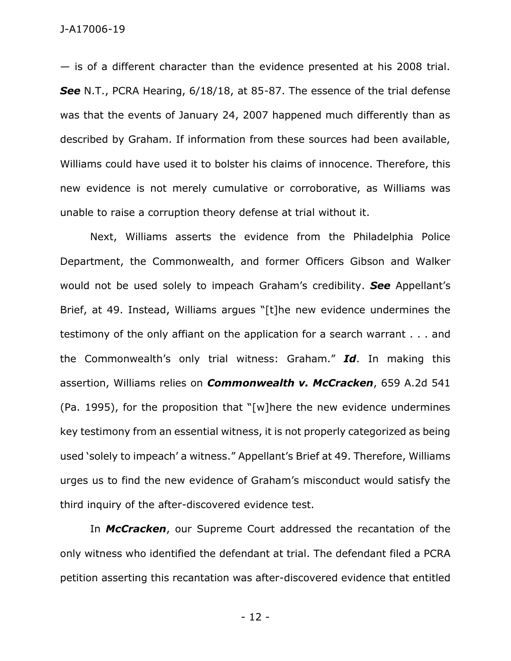— is of a different character than the evidence presented at his 2008 trial. *See* N.T., PCRA Hearing, 6/18/18, at 85-87. The essence of the trial defense was that the events of January 24, 2007 happened much differently than as described by Graham. If information from these sources had been available, Williams could have used it to bolster his claims of innocence. Therefore, this new evidence is not merely cumulative or corroborative, as Williams was unable to raise a corruption theory defense at trial without it.

Next, Williams asserts the evidence from the Philadelphia Police Department, the Commonwealth, and former Officers Gibson and Walker would not be used solely to impeach Graham's credibility. *See* Appellant's Brief, at 49. Instead, Williams argues "[t]he new evidence undermines the testimony of the only affiant on the application for a search warrant . . . and the Commonwealth's only trial witness: Graham." *Id*. In making this assertion, Williams relies on *Commonwealth v. McCracken*, 659 A.2d 541 (Pa. 1995), for the proposition that "[w]here the new evidence undermines key testimony from an essential witness, it is not properly categorized as being used 'solely to impeach' a witness." Appellant's Brief at 49. Therefore, Williams urges us to find the new evidence of Graham's misconduct would satisfy the third inquiry of the after-discovered evidence test.

In *McCracken*, our Supreme Court addressed the recantation of the only witness who identified the defendant at trial. The defendant filed a PCRA petition asserting this recantation was after-discovered evidence that entitled

- 12 -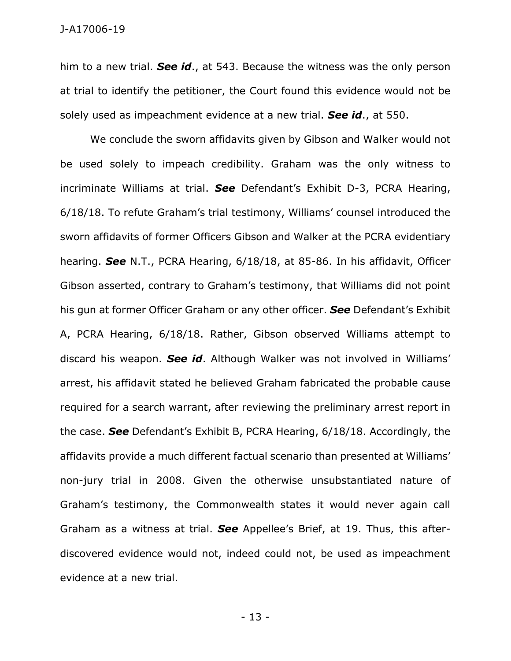him to a new trial. *See id*., at 543. Because the witness was the only person at trial to identify the petitioner, the Court found this evidence would not be solely used as impeachment evidence at a new trial. *See id*., at 550.

We conclude the sworn affidavits given by Gibson and Walker would not be used solely to impeach credibility. Graham was the only witness to incriminate Williams at trial. *See* Defendant's Exhibit D-3, PCRA Hearing, 6/18/18. To refute Graham's trial testimony, Williams' counsel introduced the sworn affidavits of former Officers Gibson and Walker at the PCRA evidentiary hearing. *See* N.T., PCRA Hearing, 6/18/18, at 85-86. In his affidavit, Officer Gibson asserted, contrary to Graham's testimony, that Williams did not point his gun at former Officer Graham or any other officer. *See* Defendant's Exhibit A, PCRA Hearing, 6/18/18. Rather, Gibson observed Williams attempt to discard his weapon. *See id*. Although Walker was not involved in Williams' arrest, his affidavit stated he believed Graham fabricated the probable cause required for a search warrant, after reviewing the preliminary arrest report in the case. *See* Defendant's Exhibit B, PCRA Hearing, 6/18/18. Accordingly, the affidavits provide a much different factual scenario than presented at Williams' non-jury trial in 2008. Given the otherwise unsubstantiated nature of Graham's testimony, the Commonwealth states it would never again call Graham as a witness at trial. *See* Appellee's Brief, at 19. Thus, this afterdiscovered evidence would not, indeed could not, be used as impeachment evidence at a new trial.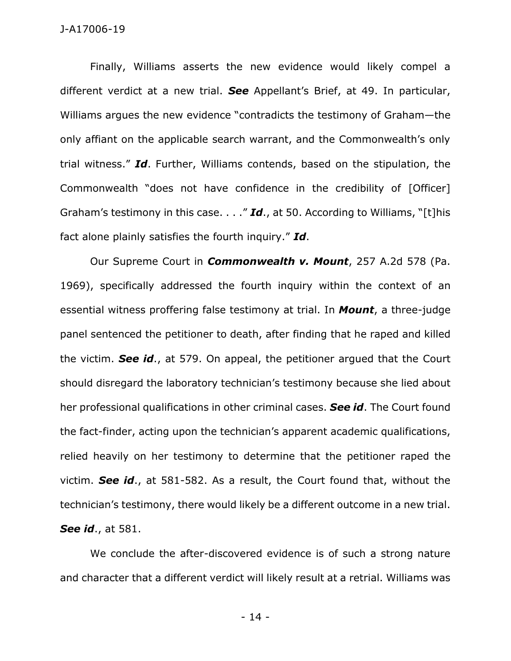## J-A17006-19

Finally, Williams asserts the new evidence would likely compel a different verdict at a new trial. *See* Appellant's Brief, at 49. In particular, Williams argues the new evidence "contradicts the testimony of Graham—the only affiant on the applicable search warrant, and the Commonwealth's only trial witness." *Id*. Further, Williams contends, based on the stipulation, the Commonwealth "does not have confidence in the credibility of [Officer] Graham's testimony in this case. . . ." *Id*., at 50. According to Williams, "[t]his fact alone plainly satisfies the fourth inquiry." *Id*.

Our Supreme Court in *Commonwealth v. Mount*, 257 A.2d 578 (Pa. 1969), specifically addressed the fourth inquiry within the context of an essential witness proffering false testimony at trial. In *Mount*, a three-judge panel sentenced the petitioner to death, after finding that he raped and killed the victim. *See id*., at 579. On appeal, the petitioner argued that the Court should disregard the laboratory technician's testimony because she lied about her professional qualifications in other criminal cases. *See id*. The Court found the fact-finder, acting upon the technician's apparent academic qualifications, relied heavily on her testimony to determine that the petitioner raped the victim. *See id*., at 581-582. As a result, the Court found that, without the technician's testimony, there would likely be a different outcome in a new trial. *See id*., at 581.

We conclude the after-discovered evidence is of such a strong nature and character that a different verdict will likely result at a retrial. Williams was

- 14 -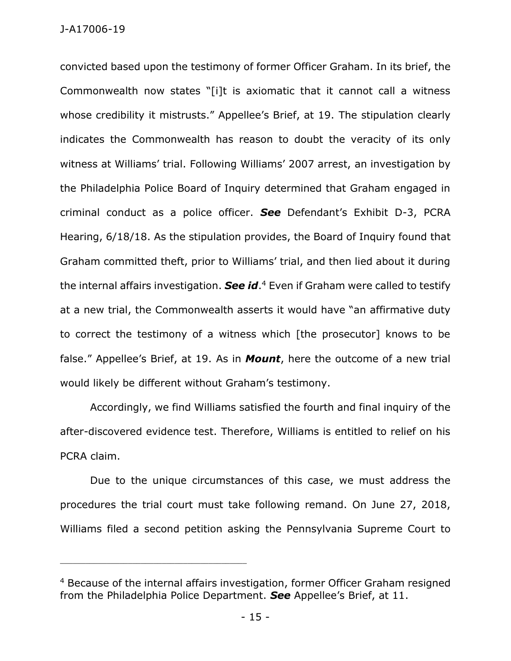convicted based upon the testimony of former Officer Graham. In its brief, the Commonwealth now states "[i]t is axiomatic that it cannot call a witness whose credibility it mistrusts." Appellee's Brief, at 19. The stipulation clearly indicates the Commonwealth has reason to doubt the veracity of its only witness at Williams' trial. Following Williams' 2007 arrest, an investigation by the Philadelphia Police Board of Inquiry determined that Graham engaged in criminal conduct as a police officer. *See* Defendant's Exhibit D-3, PCRA Hearing, 6/18/18. As the stipulation provides, the Board of Inquiry found that Graham committed theft, prior to Williams' trial, and then lied about it during the internal affairs investigation. *See id*. <sup>4</sup> Even if Graham were called to testify at a new trial, the Commonwealth asserts it would have "an affirmative duty to correct the testimony of a witness which [the prosecutor] knows to be false." Appellee's Brief, at 19. As in *Mount*, here the outcome of a new trial would likely be different without Graham's testimony.

Accordingly, we find Williams satisfied the fourth and final inquiry of the after-discovered evidence test. Therefore, Williams is entitled to relief on his PCRA claim.

Due to the unique circumstances of this case, we must address the procedures the trial court must take following remand. On June 27, 2018, Williams filed a second petition asking the Pennsylvania Supreme Court to

\_\_\_\_\_\_\_\_\_\_\_\_\_\_\_\_\_\_\_\_\_\_\_\_\_\_\_\_\_\_\_\_\_\_\_\_\_\_\_\_\_\_\_\_

<sup>4</sup> Because of the internal affairs investigation, former Officer Graham resigned from the Philadelphia Police Department. *See* Appellee's Brief, at 11.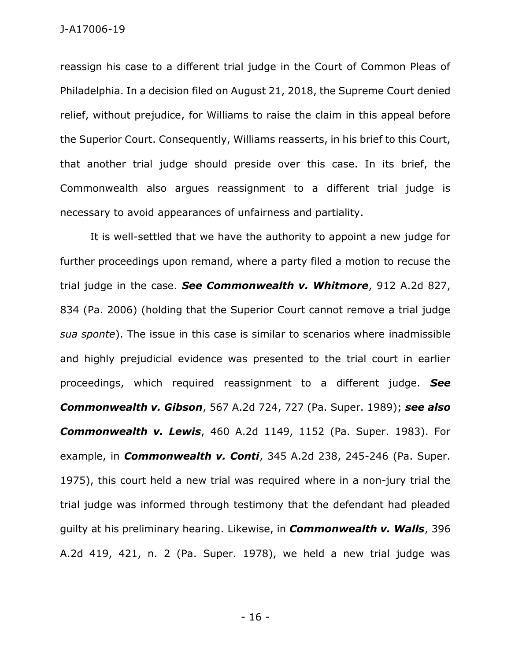reassign his case to a different trial judge in the Court of Common Pleas of Philadelphia. In a decision filed on August 21, 2018, the Supreme Court denied relief, without prejudice, for Williams to raise the claim in this appeal before the Superior Court. Consequently, Williams reasserts, in his brief to this Court, that another trial judge should preside over this case. In its brief, the Commonwealth also argues reassignment to a different trial judge is necessary to avoid appearances of unfairness and partiality.

It is well-settled that we have the authority to appoint a new judge for further proceedings upon remand, where a party filed a motion to recuse the trial judge in the case. *See Commonwealth v. Whitmore*, 912 A.2d 827, 834 (Pa. 2006) (holding that the Superior Court cannot remove a trial judge *sua sponte*). The issue in this case is similar to scenarios where inadmissible and highly prejudicial evidence was presented to the trial court in earlier proceedings, which required reassignment to a different judge. *See Commonwealth v. Gibson*, 567 A.2d 724, 727 (Pa. Super. 1989); *see also Commonwealth v. Lewis*, 460 A.2d 1149, 1152 (Pa. Super. 1983). For example, in *Commonwealth v. Conti*, 345 A.2d 238, 245-246 (Pa. Super. 1975), this court held a new trial was required where in a non-jury trial the trial judge was informed through testimony that the defendant had pleaded guilty at his preliminary hearing. Likewise, in *Commonwealth v. Walls*, 396 A.2d 419, 421, n. 2 (Pa. Super. 1978), we held a new trial judge was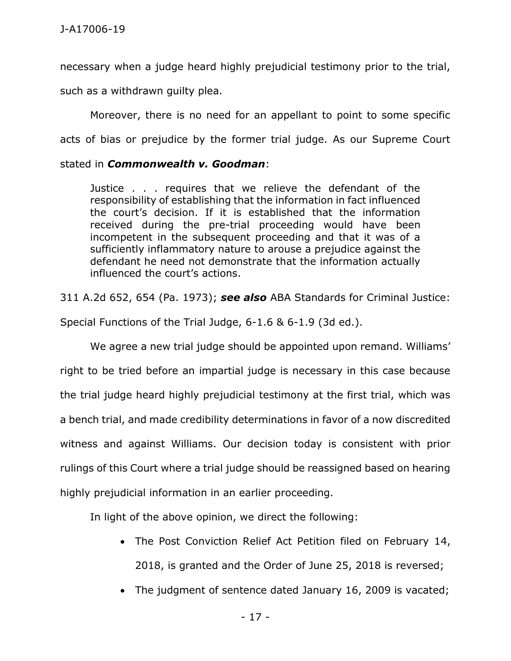necessary when a judge heard highly prejudicial testimony prior to the trial,

such as a withdrawn guilty plea.

Moreover, there is no need for an appellant to point to some specific acts of bias or prejudice by the former trial judge. As our Supreme Court

## stated in *Commonwealth v. Goodman*:

Justice . . . requires that we relieve the defendant of the responsibility of establishing that the information in fact influenced the court's decision. If it is established that the information received during the pre-trial proceeding would have been incompetent in the subsequent proceeding and that it was of a sufficiently inflammatory nature to arouse a prejudice against the defendant he need not demonstrate that the information actually influenced the court's actions.

311 A.2d 652, 654 (Pa. 1973); *see also* ABA Standards for Criminal Justice:

Special Functions of the Trial Judge, 6-1.6 & 6-1.9 (3d ed.).

We agree a new trial judge should be appointed upon remand. Williams' right to be tried before an impartial judge is necessary in this case because the trial judge heard highly prejudicial testimony at the first trial, which was a bench trial, and made credibility determinations in favor of a now discredited witness and against Williams. Our decision today is consistent with prior rulings of this Court where a trial judge should be reassigned based on hearing highly prejudicial information in an earlier proceeding.

In light of the above opinion, we direct the following:

- The Post Conviction Relief Act Petition filed on February 14, 2018, is granted and the Order of June 25, 2018 is reversed;
- The judgment of sentence dated January 16, 2009 is vacated;